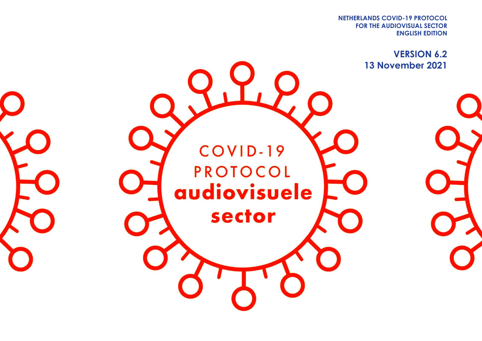**FOR THE AUDIOVISUAL SECTOR NETHERLANDS COVID-19 PROTOCOL ENGLISH EDITION**

> **VERSION 6.2 13 November 2021**

COVID-19 **PROTOCOL** audiovisuele sector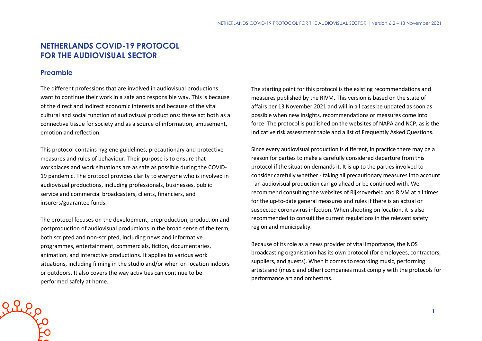# **NETHERLANDS COVID-19 PROTOCOL FOR THE AUDIOVISUAL SECTOR**

## **Preamble**

The different professions that are involved in audiovisual productions want to continue their work in a safe and responsible way. This is because of the direct and indirect economic interests and because of the vital cultural and social function of audiovisual productions: these act both as a connective tissue for society and as a source of information, amusement, emotion and reflection.

This protocol contains hygiene guidelines, precautionary and protective measures and rules of behaviour. Their purpose is to ensure that workplaces and work situations are as safe as possible during the COVID-19 pandemic. The protocol provides clarity to everyone who is involved in audiovisual productions, including professionals, businesses, public service and commercial broadcasters, clients, financiers, and insurers/guarantee funds.

The protocol focuses on the development, preproduction, production and postproduction of audiovisual productions in the broad sense of the term, both scripted and non-scripted, including news and informative programmes, entertainment, commercials, fiction, documentaries, animation, and interactive productions. It applies to various work situations, including filming in the studio and/or when on location indoors or outdoors. It also covers the way activities can continue to be performed safely at home.

The starting point for this protocol is the existing recommendations and measures published by the RIVM. This version is based on the state of affairs per 13 November 2021 and will in all cases be updated as soon as possible when new insights, recommendations or measures come into force. The protocol is published on the websites of NAPA and NCP, as is the indicative risk assessment table and a list of Frequently Asked Questions.

Since every audiovisual production is different, in practice there may be a reason for parties to make a carefully considered departure from this protocol if the situation demands it. It is up to the parties involved to consider carefully whether - taking all precautionary measures into account - an audiovisual production can go ahead or be continued with. We recommend consulting the websites of Rijksoverheid and RIVM at all times for the up-to-date general measures and rules if there is an actual or suspected coronavirus infection. When shooting on location, it is also recommended to consult the current regulations in the relevant safety region and municipality.

Because of its role as a news provider of vital importance, the NOS broadcasting organisation has its own protocol (for employees, contractors, suppliers, and guests). When it comes to recording music, performing artists and (music and other) companies must comply with the protocols for performance art and orchestras.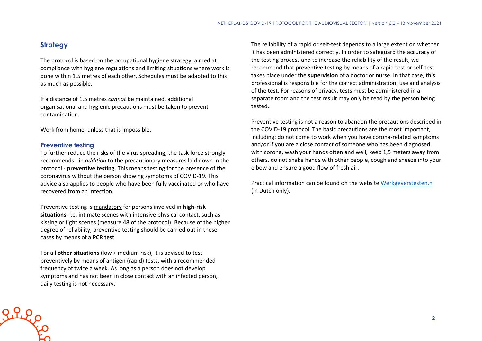## **Strategy**

The protocol is based on the occupational hygiene strategy, aimed at compliance with hygiene regulations and limiting situations where work is done within 1.5 metres of each other. Schedules must be adapted to this as much as possible.

If a distance of 1.5 metres *cannot* be maintained, additional organisational and hygienic precautions must be taken to prevent contamination.

Work from home, unless that is impossible.

## **Preventive testing**

Rileo

To further reduce the risks of the virus spreading, the task force strongly recommends - in *addition* to the precautionary measures laid down in the protocol - **preventive testing**. This means testing for the presence of the coronavirus without the person showing symptoms of COVID-19. This advice also applies to people who have been fully vaccinated or who have recovered from an infection.

Preventive testing is mandatory for persons involved in **high-risk situations**, i.e. intimate scenes with intensive physical contact, such as kissing or fight scenes (measure 48 of the protocol). Because of the higher degree of reliability, preventive testing should be carried out in these cases by means of a **PCR test**.

For all **other situations** (low + medium risk), it is advised to test preventively by means of antigen (rapid) tests, with a recommended frequency of twice a week. As long as a person does not develop symptoms and has not been in close contact with an infected person, daily testing is not necessary.

The reliability of a rapid or self-test depends to a large extent on whether it has been administered correctly. In order to safeguard the accuracy of the testing process and to increase the reliability of the result, we recommend that preventive testing by means of a rapid test or self-test takes place under the **supervision** of a doctor or nurse. In that case, this professional is responsible for the correct administration, use and analysis of the test. For reasons of privacy, tests must be administered in a separate room and the test result may only be read by the person being tested.

Preventive testing is not a reason to abandon the precautions described in the COVID-19 protocol. The basic precautions are the most important, including: do not come to work when you have corona-related symptoms and/or if you are a close contact of someone who has been diagnosed with corona, wash your hands often and well, keep 1,5 meters away from others, do not shake hands with other people, cough and sneeze into your elbow and ensure a good flow of fresh air.

Practical information can be found on the website [Werkgeverstesten.nl](https://www.werkgeverstesten.nl/) (in Dutch only).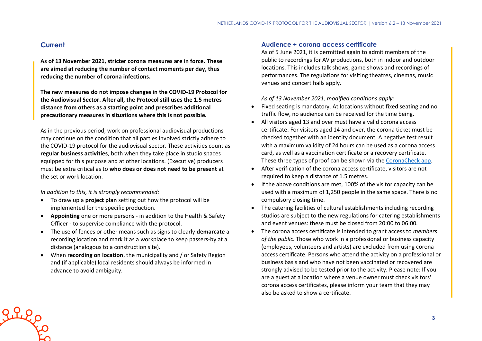## **Current**

greep

**As of 13 November 2021, stricter corona measures are in force. These are aimed at reducing the number of contact moments per day, thus reducing the number of corona infections.**

**The new measures do not impose changes in the COVID-19 Protocol for the Audiovisual Sector. After all, the Protocol still uses the 1.5 metres distance from others as a starting point and prescribes additional precautionary measures in situations where this is not possible.**

As in the previous period, work on professional audiovisual productions may continue on the condition that all parties involved strictly adhere to the COVID-19 protocol for the audiovisual sector. These activities count as **regular business activities**, both when they take place in studio spaces equipped for this purpose and at other locations. (Executive) producers must be extra critical as to **who does or does not need to be present** at the set or work location.

*In addition to this, it is strongly recommended:*

- To draw up a **project plan** setting out how the protocol will be implemented for the specific production.
- **Appointing** one or more persons in addition to the Health & Safety Officer - to supervise compliance with the protocol.
- The use of fences or other means such as signs to clearly **demarcate** a recording location and mark it as a workplace to keep passers-by at a distance (analogous to a construction site).
- When **recording on location**, the municipality and / or Safety Region and (if applicable) local residents should always be informed in advance to avoid ambiguity.

## **Audience + corona access certificate**

As of 5 June 2021, it is permitted again to admit members of the public to recordings for AV productions, both in indoor and outdoor locations. This includes talk shows, game shows and recordings of performances. The regulations for visiting theatres, cinemas, music venues and concert halls apply.

*As of 13 November 2021, modified conditions apply:*

- Fixed seating is mandatory. At locations without fixed seating and no traffic flow, no audience can be received for the time being.
- All visitors aged 13 and over must have a valid corona access certificate. For visitors aged 14 and over, the corona ticket must be checked together with an identity document. A negative test result with a maximum validity of 24 hours can be used as a corona access card, as well as a vaccination certificate or a recovery certificate. These three types of proof can be shown via the [CoronaCheck app.](https://coronacheck.nl/en/)
- After verification of the corona access certificate, visitors are not required to keep a distance of 1.5 metres.
- If the above conditions are met, 100% of the visitor capacity can be used with a maximum of 1,250 people in the same space. There is no compulsory closing time.
- The catering facilities of cultural establishments including recording studios are subject to the new regulations for catering establishments and event venues: these must be closed from 20:00 to 06:00.
- The corona access certificate is intended to grant access to *members of the public*. Those who work in a professional or business capacity (employees, volunteers and artists) are excluded from using corona access certificate. Persons who attend the activity on a professional or business basis and who have not been vaccinated or recovered are strongly advised to be tested prior to the activity. Please note: If you are a guest at a location where a venue owner must check visitors' corona access certificates, please inform your team that they may also be asked to show a certificate.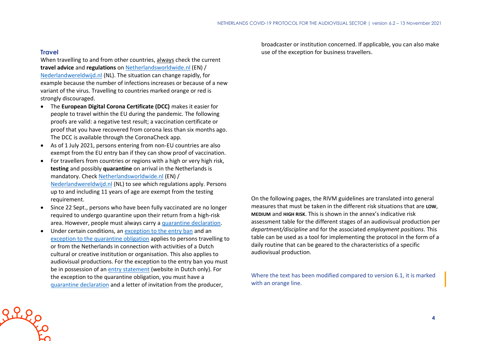## **Travel**

When travelling to and from other countries, always check the current **travel advice** and **regulations** on [Netherlandsworldwide.nl](https://www.netherlandsworldwide.nl/) (EN) / [Nederlandwereldwijd.nl](https://www.nederlandwereldwijd.nl/) (NL). The situation can change rapidly, for example because the number of infections increases or because of a new variant of the virus. Travelling to countries marked orange or red is strongly discouraged.

- The **European Digital Corona Certificate (DCC)** makes it easier for people to travel within the EU during the pandemic. The following proofs are valid: a negative test result; a vaccination certificate or proof that you have recovered from corona less than six months ago. The DCC is available through the CoronaCheck app.
- As of 1 July 2021, persons entering from non-EU countries are also exempt from the EU entry ban if they can show proof of vaccination.
- For travellers from countries or regions with a high or very high risk, **testing** and possibly **quarantine** on arrival in the Netherlands is mandatory. Check [Netherlandsworldwide.nl](https://www.netherlandsworldwide.nl/) (EN) / [Nederlandwereldwijd.nl](https://www.nederlandwereldwijd.nl/) (NL) to see which regulations apply. Persons up to and including 11 years of age are exempt from the testing requirement.
- Since 22 Sept., persons who have been fully vaccinated are no longer required to undergo quarantine upon their return from a high-risk area. However, people must always carry a [quarantine declaration.](https://www.rijksoverheid.nl/onderwerpen/coronavirus-covid-19/documenten/publicaties/2021/05/20/quarantaineverklaring)
- Under certain conditions, an [exception to the entry ban](https://www.government.nl/topics/coronavirus-covid-19/visiting-the-netherlands-from-abroad/exemptions-to-the-entry-ban/professionals-in-the-cultural-and-creative-sectors) and an [exception to the quarantine obligation](https://www.government.nl/topics/coronavirus-covid-19/visiting-the-netherlands-from-abroad/self-quarantine/exceptions-mandatory-quarantine) applies to persons travelling to or from the Netherlands in connection with activities of a Dutch cultural or creative institution or organisation. This also applies to audiovisual productions. For the exception to the entry ban you must be in possession of an [entry statement](https://www.inreisverklaringcultuur.nl/) (website in Dutch only). For the exception to the quarantine obligation, you must have a [quarantine declaration](https://www.rijksoverheid.nl/onderwerpen/coronavirus-covid-19/documenten/publicaties/2021/05/20/quarantaineverklaring) and a letter of invitation from the producer,

broadcaster or institution concerned. If applicable, you can also make use of the exception for business travellers.

On the following pages, the RIVM guidelines are translated into general measures that must be taken in the different risk situations that are **LOW**, **MEDIUM** and **HIGH RISK**. This is shown in the annex's indicative risk assessment table for the different stages of an audiovisual production per *department/discipline* and for the associated *employment positions*. This table can be used as a tool for implementing the protocol in the form of a daily routine that can be geared to the characteristics of a specific audiovisual production.

Where the text has been modified compared to version 6.1, it is marked with an orange line.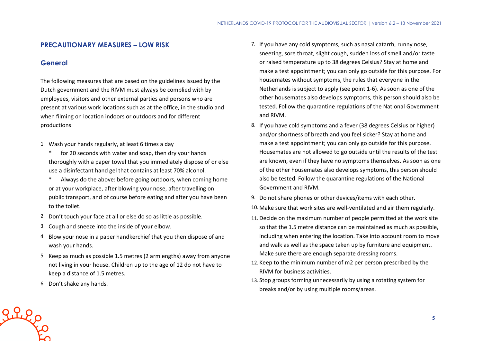## **PRECAUTIONARY MEASURES – LOW RISK**

## **General**

The following measures that are based on the guidelines issued by the Dutch government and the RIVM must always be complied with by employees, visitors and other external parties and persons who are present at various work locations such as at the office, in the studio and when filming on location indoors or outdoors and for different productions:

- 1. Wash your hands regularly, at least 6 times a day
	- \* for 20 seconds with water and soap, then dry your hands thoroughly with a paper towel that you immediately dispose of or else use a disinfectant hand gel that contains at least 70% alcohol.
	- \* Always do the above: before going outdoors, when coming home or at your workplace, after blowing your nose, after travelling on public transport, and of course before eating and after you have been to the toilet.
- 2. Don't touch your face at all or else do so as little as possible.
- 3. Cough and sneeze into the inside of your elbow.
- 4. Blow your nose in a paper handkerchief that you then dispose of and wash your hands.
- 5. Keep as much as possible 1.5 metres (2 armlengths) away from anyone not living in your house. Children up to the age of 12 do not have to keep a distance of 1.5 metres.
- 6. Don't shake any hands.

Riego

- 7. If you have any cold symptoms, such as nasal catarrh, runny nose, sneezing, sore throat, slight cough, sudden loss of smell and/or taste or raised temperature up to 38 degrees Celsius? Stay at home and make a test appointment; you can only go outside for this purpose. For housemates without symptoms, the rules that everyone in the Netherlands is subject to apply (see point 1-6). As soon as one of the other housemates also develops symptoms, this person should also be tested. Follow the quarantine regulations of the National Government and RIVM.
- 8. If you have cold symptoms and a fever (38 degrees Celsius or higher) and/or shortness of breath and you feel sicker? Stay at home and make a test appointment; you can only go outside for this purpose. Housemates are not allowed to go outside until the results of the test are known, even if they have no symptoms themselves. As soon as one of the other housemates also develops symptoms, this person should also be tested. Follow the quarantine regulations of the National Government and RIVM.
- 9. Do not share phones or other devices/items with each other.
- 10. Make sure that work sites are well-ventilated and air them regularly.
- 11. Decide on the maximum number of people permitted at the work site so that the 1.5 metre distance can be maintained as much as possible, including when entering the location. Take into account room to move and walk as well as the space taken up by furniture and equipment. Make sure there are enough separate dressing rooms.
- 12. Keep to the minimum number of m2 per person prescribed by the RIVM for business activities.
- 13. Stop groups forming unnecessarily by using a rotating system for breaks and/or by using multiple rooms/areas.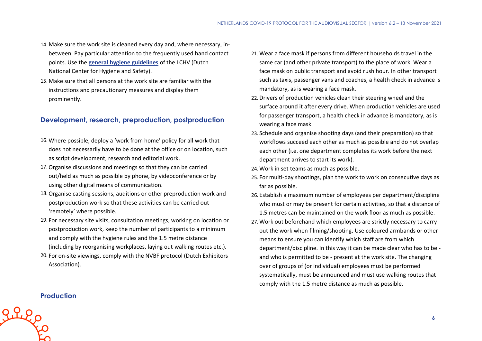- 14. Make sure the work site is cleaned every day and, where necessary, inbetween. Pay particular attention to the frequently used hand contact points. Use the **[general hygiene guidelines](https://www.rivm.nl/hygienerichtlijnen/algemeen)** of the LCHV (Dutch National Center for Hygiene and Safety).
- 15. Make sure that all persons at the work site are familiar with the instructions and precautionary measures and display them prominently.

# **Development, research, preproduction, postproduction**

- 16. Where possible, deploy a 'work from home' policy for all work that does not necessarily have to be done at the office or on location, such as script development, research and editorial work.
- 17.Organise discussions and meetings so that they can be carried out/held as much as possible by phone, by videoconference or by using other digital means of communication.
- 18.Organise casting sessions, auditions or other preproduction work and postproduction work so that these activities can be carried out 'remotely' where possible.
- 19. For necessary site visits, consultation meetings, working on location or postproduction work, keep the number of participants to a minimum and comply with the hygiene rules and the 1.5 metre distance (including by reorganising workplaces, laying out walking routes etc.).
- 20. For on-site viewings, comply with the NVBF protocol (Dutch Exhibitors Association).
- 21. Wear a face mask if persons from different households travel in the same car (and other private transport) to the place of work. Wear a face mask on public transport and avoid rush hour. In other transport such as taxis, passenger vans and coaches, a health check in advance is mandatory, as is wearing a face mask.
- 22. Drivers of production vehicles clean their steering wheel and the surface around it after every drive. When production vehicles are used for passenger transport, a health check in advance is mandatory, as is wearing a face mask.
- 23. Schedule and organise shooting days (and their preparation) so that workflows succeed each other as much as possible and do not overlap each other (i.e. one department completes its work before the next department arrives to start its work).
- 24. Work in set teams as much as possible.
- 25. For multi-day shootings, plan the work to work on consecutive days as far as possible.
- 26. Establish a maximum number of employees per department/discipline who must or may be present for certain activities, so that a distance of 1.5 metres can be maintained on the work floor as much as possible.
- 27. Work out beforehand which employees are strictly necessary to carry out the work when filming/shooting. Use coloured armbands or other means to ensure you can identify which staff are from which department/discipline. In this way it can be made clear who has to be and who is permitted to be - present at the work site. The changing over of groups of (or individual) employees must be performed systematically, must be announced and must use walking routes that comply with the 1.5 metre distance as much as possible.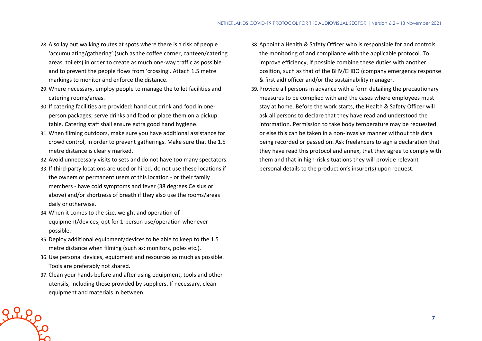- 28. Also lay out walking routes at spots where there is a risk of people 'accumulating/gathering' (such as the coffee corner, canteen/catering areas, toilets) in order to create as much one-way traffic as possible and to prevent the people flows from 'crossing'. Attach 1.5 metre markings to monitor and enforce the distance.
- 29. Where necessary, employ people to manage the toilet facilities and catering rooms/areas.
- 30. If catering facilities are provided: hand out drink and food in oneperson packages; serve drinks and food or place them on a pickup table. Catering staff shall ensure extra good hand hygiene.
- 31. When filming outdoors, make sure you have additional assistance for crowd control, in order to prevent gatherings. Make sure that the 1.5 metre distance is clearly marked.
- 32. Avoid unnecessary visits to sets and do not have too many spectators.
- 33. If third-party locations are used or hired, do not use these locations if the owners or permanent users of this location - or their family members - have cold symptoms and fever (38 degrees Celsius or above) and/or shortness of breath if they also use the rooms/areas daily or otherwise.
- 34. When it comes to the size, weight and operation of equipment/devices, opt for 1-person use/operation whenever possible.
- 35. Deploy additional equipment/devices to be able to keep to the 1.5 metre distance when filming (such as: monitors, poles etc.).
- 36.Use personal devices, equipment and resources as much as possible. Tools are preferably not shared.
- 37. Clean your hands before and after using equipment, tools and other utensils, including those provided by suppliers. If necessary, clean equipment and materials in between.

 $2220$ 

- 38. Appoint a Health & Safety Officer who is responsible for and controls the monitoring of and compliance with the applicable protocol. To improve efficiency, if possible combine these duties with another position, such as that of the BHV/EHBO (company emergency response & first aid) officer and/or the sustainability manager.
- 39. Provide all persons in advance with a form detailing the precautionary measures to be complied with and the cases where employees must stay at home. Before the work starts, the Health & Safety Officer will ask all persons to declare that they have read and understood the information. Permission to take body temperature may be requested or else this can be taken in a non-invasive manner without this data being recorded or passed on. Ask freelancers to sign a declaration that they have read this protocol and annex, that they agree to comply with them and that in high-risk situations they will provide relevant personal details to the production's insurer(s) upon request.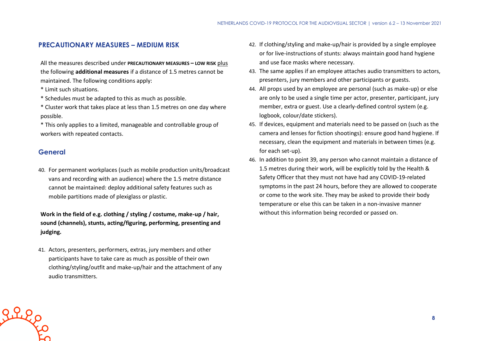## **PRECAUTIONARY MEASURES – MEDIUM RISK**

All the measures described under **PRECAUTIONARY MEASURES – LOW RISK** plus the following **additional measures** if a distance of 1.5 metres cannot be maintained. The following conditions apply:

- \* Limit such situations.
- \* Schedules must be adapted to this as much as possible.
- \* Cluster work that takes place at less than 1.5 metres on one day where possible.
- \* This only applies to a limited, manageable and controllable group of workers with repeated contacts.

## **General**

Riles

40. For permanent workplaces (such as mobile production units/broadcast vans and recording with an audience) where the 1.5 metre distance cannot be maintained: deploy additional safety features such as mobile partitions made of plexiglass or plastic.

**Work in the field of e.g. clothing / styling / costume, make-up / hair, sound (channels), stunts, acting/figuring, performing, presenting and judging.**

41. Actors, presenters, performers, extras, jury members and other participants have to take care as much as possible of their own clothing/styling/outfit and make-up/hair and the attachment of any audio transmitters.

- 42. If clothing/styling and make-up/hair is provided by a single employee or for live-instructions of stunts: always maintain good hand hygiene and use face masks where necessary.
- 43. The same applies if an employee attaches audio transmitters to actors, presenters, jury members and other participants or guests.
- 44. All props used by an employee are personal (such as make-up) or else are only to be used a single time per actor, presenter, participant, jury member, extra or guest. Use a clearly-defined control system (e.g. logbook, colour/date stickers).
- 45. If devices, equipment and materials need to be passed on (such as the camera and lenses for fiction shootings): ensure good hand hygiene. If necessary, clean the equipment and materials in between times (e.g. for each set-up).
- 46. In addition to point 39, any person who cannot maintain a distance of 1.5 metres during their work, will be explicitly told by the Health & Safety Officer that they must not have had any COVID-19-related symptoms in the past 24 hours, before they are allowed to cooperate or come to the work site. They may be asked to provide their body temperature or else this can be taken in a non-invasive manner without this information being recorded or passed on.